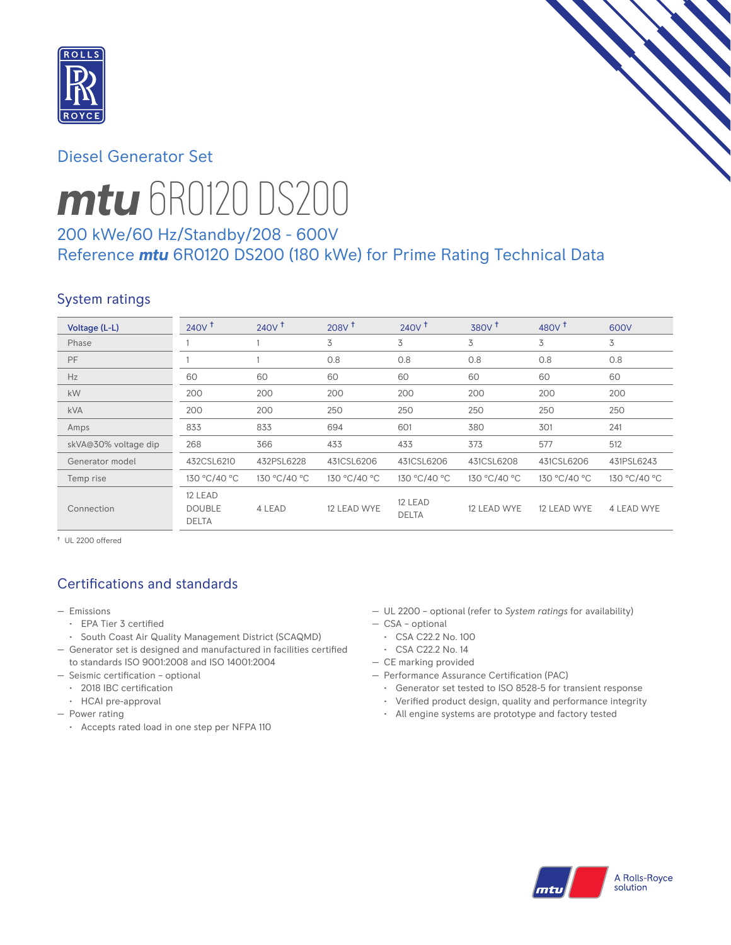

# Diesel Generator Set



# *mtu* 6R0120 DS200

# 200 kWe/60 Hz/Standby/208 - 600V Reference *mtu* 6R0120 DS200 (180 kWe) for Prime Rating Technical Data

# System ratings

| Voltage (L-L)        | 240V <sup>†</sup>                        | 240V <sup>†</sup> | 208V <sup>†</sup> | $240V$ <sup>+</sup>     | 380V <sup>+</sup> | 480 $V†$     | 600V         |
|----------------------|------------------------------------------|-------------------|-------------------|-------------------------|-------------------|--------------|--------------|
| Phase                |                                          |                   | 3                 | 3                       | 3                 | 3            | 3            |
| PF                   |                                          |                   | 0.8               | 0.8                     | 0.8               | 0.8          | 0.8          |
| Hz                   | 60                                       | 60                | 60                | 60                      | 60                | 60           | 60           |
| kW                   | 200                                      | 200               | 200               | 200                     | 200               | 200          | 200          |
| <b>kVA</b>           | 200                                      | 200               | 250               | 250                     | 250               | 250          | 250          |
| Amps                 | 833                                      | 833               | 694               | 601                     | 380               | 301          | 241          |
| skVA@30% voltage dip | 268                                      | 366               | 433               | 433                     | 373               | 577          | 512          |
| Generator model      | 432CSL6210                               | 432PSL6228        | 431CSL6206        | 431CSL6206              | 431CSL6208        | 431CSL6206   | 431PSL6243   |
| Temp rise            | 130 °C/40 °C                             | 130 °C/40 °C      | 130 °C/40 °C      | 130 °C/40 °C            | 130 °C/40 °C      | 130 °C/40 °C | 130 °C/40 °C |
| Connection           | 12 LEAD<br><b>DOUBLE</b><br><b>DELTA</b> | 4 LEAD            | 12 LEAD WYE       | 12 LEAD<br><b>DELTA</b> | 12 LEAD WYE       | 12 LEAD WYE  | 4 LEAD WYE   |

† UL 2200 offered

# Certifications and standards

- Emissions
	- EPA Tier 3 certified
	- South Coast Air Quality Management District (SCAQMD)
- Generator set is designed and manufactured in facilities certified to standards ISO 9001:2008 and ISO 14001:2004
- Seismic certification optional
	- 2018 IBC certification
	- HCAI pre-approval
- Power rating
	- Accepts rated load in one step per NFPA 110
- UL 2200 optional (refer to *System ratings* for availability)
- CSA optional
- CSA C22.2 No. 100
- CSA C22.2 No. 14
- CE marking provided
- Performance Assurance Certification (PAC)
	- Generator set tested to ISO 8528-5 for transient response
	- Verified product design, quality and performance integrity
	- All engine systems are prototype and factory tested

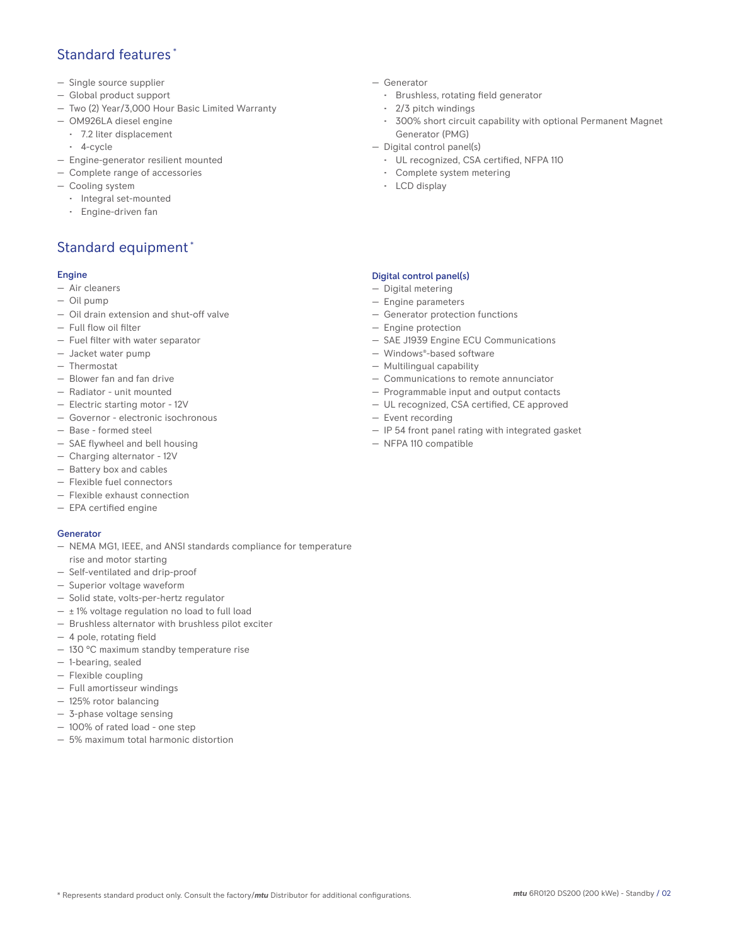## Standard features \*

- Single source supplier
- Global product support
- Two (2) Year/3,000 Hour Basic Limited Warranty
- OM926LA diesel engine
	- 7.2 liter displacement
	- 4-cycle
- Engine-generator resilient mounted
- Complete range of accessories
- Cooling system
	- Integral set-mounted
	- Engine-driven fan

# Standard equipment \*

#### Engine

- Air cleaners
- Oil pump
- Oil drain extension and shut-off valve
- Full flow oil filter
- Fuel filter with water separator
- Jacket water pump
- Thermostat
- Blower fan and fan drive
- Radiator unit mounted
- Electric starting motor 12V
- Governor electronic isochronous
- Base formed steel
- SAE flywheel and bell housing
- Charging alternator 12V
- Battery box and cables
- Flexible fuel connectors
- Flexible exhaust connection
- EPA certified engine

#### Generator

- NEMA MG1, IEEE, and ANSI standards compliance for temperature rise and motor starting
- Self-ventilated and drip-proof
- Superior voltage waveform
- Solid state, volts-per-hertz regulator
- $\pm$  1% voltage regulation no load to full load
- Brushless alternator with brushless pilot exciter
- 4 pole, rotating field
- 130 °C maximum standby temperature rise
- 1-bearing, sealed
- Flexible coupling
- Full amortisseur windings
- 125% rotor balancing
- 3-phase voltage sensing
- 100% of rated load one step
- 5% maximum total harmonic distortion
- Generator
	- Brushless, rotating field generator
	- 2/3 pitch windings
	- 300% short circuit capability with optional Permanent Magnet Generator (PMG)
- Digital control panel(s)
	- UL recognized, CSA certified, NFPA 110
	- Complete system metering
	- LCD display

### Digital control panel(s)

- Digital metering
- Engine parameters
- Generator protection functions
- Engine protection
- SAE J1939 Engine ECU Communications
- Windows®-based software
- Multilingual capability
- Communications to remote annunciator
- Programmable input and output contacts
- UL recognized, CSA certified, CE approved
- Event recording
- IP 54 front panel rating with integrated gasket
- NFPA 110 compatible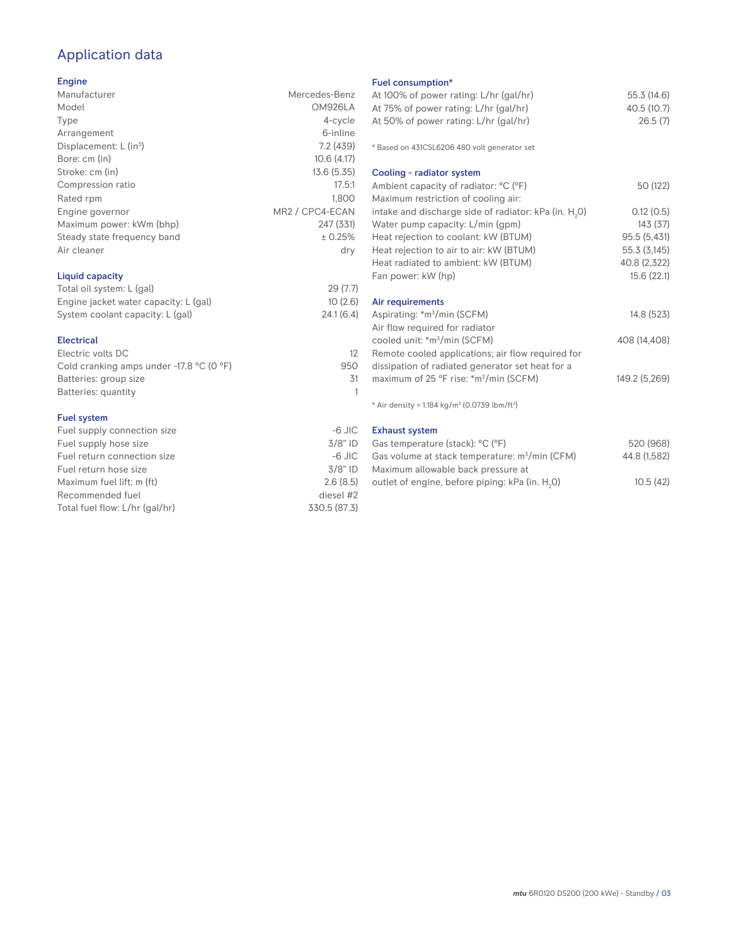# Application data

#### Engine

| Manufacturer                         | Mercedes-Benz   |
|--------------------------------------|-----------------|
| Model                                | OM926LA         |
| Type                                 | 4-cycle         |
| Arrangement                          | 6-inline        |
| Displacement: $L$ (in <sup>3</sup> ) | 7.2(439)        |
| Bore: cm (in)                        | 10.6(4.17)      |
| Stroke: cm (in)                      | 13.6(5.35)      |
| Compression ratio                    | 17.5:1          |
| Rated rpm                            | 1.800           |
| Engine governor                      | MR2 / CPC4-ECAN |
| Maximum power: kWm (bhp)             | 247 (331)       |
| Steady state frequency band          | ± 0.25%         |
| Air cleaner                          | dry             |
| Liquid capacity                      |                 |

## Total oil system: L (gal) 29 (7.7) Engine jacket water capacity: L (gal) 10 (2.6)<br>System coolant capacity: L (gal) 24.1 (6.4) System coolant capacity: L (gal)

#### Electrical Electric volts DC 12 Cold cranking amps under -17.8 °C (0 °F) 950 Batteries: group size 31 Batteries: quantity 1

#### Fuel system

| $-6$ JIC     |
|--------------|
| $3/8"$ ID    |
| $-6$ JIC     |
| $3/8"$ ID    |
| 2.6(8.5)     |
| diesel #2    |
| 330.5 (87.3) |
|              |

## Fuel consumption\*

| <b>FUBL CONSUMPTION</b>                                                 |               |
|-------------------------------------------------------------------------|---------------|
| At 100% of power rating: L/hr (gal/hr)                                  | 55.3 (14.6)   |
| At 75% of power rating: L/hr (gal/hr)                                   | 40.5 (10.7)   |
| At 50% of power rating: L/hr (gal/hr)                                   | 26.5(7)       |
| * Based on 431CSL6206 480 volt generator set                            |               |
| Cooling - radiator system                                               |               |
| Ambient capacity of radiator: °C (°F)                                   | 50 (122)      |
| Maximum restriction of cooling air:                                     |               |
| intake and discharge side of radiator: kPa (in. H <sub>2</sub> O)       | 0.12(0.5)     |
| Water pump capacity: L/min (gpm)                                        | 143(37)       |
| Heat rejection to coolant: kW (BTUM)                                    | 95.5 (5,431)  |
| Heat rejection to air to air: kW (BTUM)                                 | 55.3 (3,145)  |
| Heat radiated to ambient: kW (BTUM)                                     | 40.8 (2,322)  |
| Fan power: kW (hp)                                                      | 15.6(22.1)    |
| Air requirements                                                        |               |
| Aspirating: *m <sup>3</sup> /min (SCFM)                                 | 14.8 (523)    |
| Air flow required for radiator                                          |               |
| cooled unit: *m <sup>3</sup> /min (SCFM)                                | 408 (14,408)  |
| Remote cooled applications; air flow required for                       |               |
| dissipation of radiated generator set heat for a                        |               |
| maximum of 25 °F rise: *m <sup>3</sup> /min (SCFM)                      | 149.2 (5,269) |
| * Air density = $1.184$ kg/m <sup>3</sup> (0.0739 lbm/ft <sup>3</sup> ) |               |
| <b>Exhaust system</b>                                                   |               |
| Castomporatura (stock): OC (OE)                                         | 520 (0.69)    |

| Gas temperature (stack): °C (°F)                            | 520 (968)    |
|-------------------------------------------------------------|--------------|
| Gas volume at stack temperature: m <sup>3</sup> /min (CFM)  | 44.8 (1.582) |
| Maximum allowable back pressure at                          |              |
| outlet of engine, before piping: kPa (in. H <sub>2</sub> 0) | 10.5(42)     |
|                                                             |              |